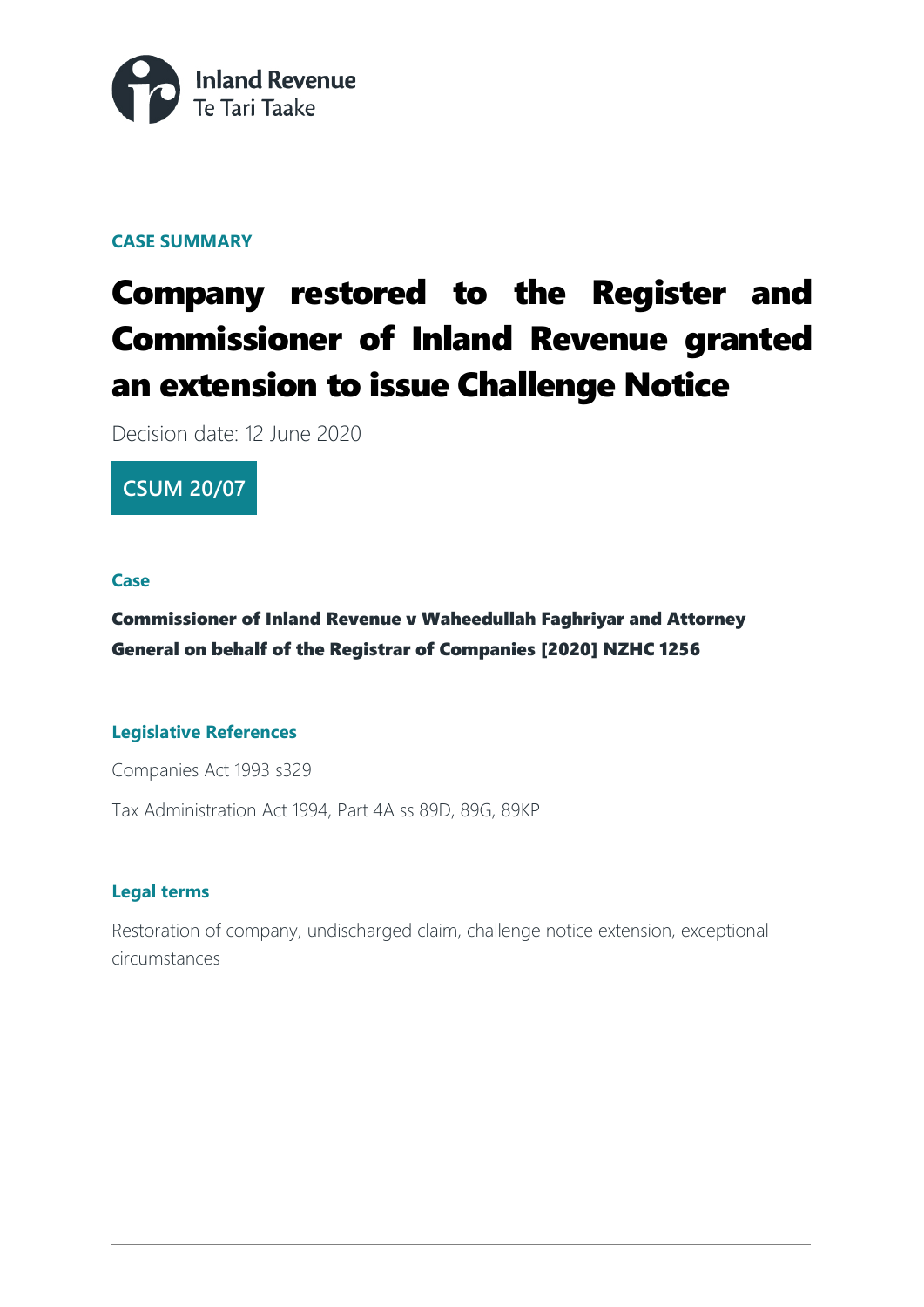

#### **CASE SUMMARY**

# Company restored to the Register and Commissioner of Inland Revenue granted an extension to issue Challenge Notice

Decision date: 12 June 2020

### **CSUM 20/07**

#### **Case**

#### Commissioner of Inland Revenue v Waheedullah Faghriyar and Attorney General on behalf of the Registrar of Companies [2020] NZHC 1256

#### **Legislative References**

Companies Act 1993 s329

Tax Administration Act 1994, Part 4A ss 89D, 89G, 89KP

#### **Legal terms**

Restoration of company, undischarged claim, challenge notice extension, exceptional circumstances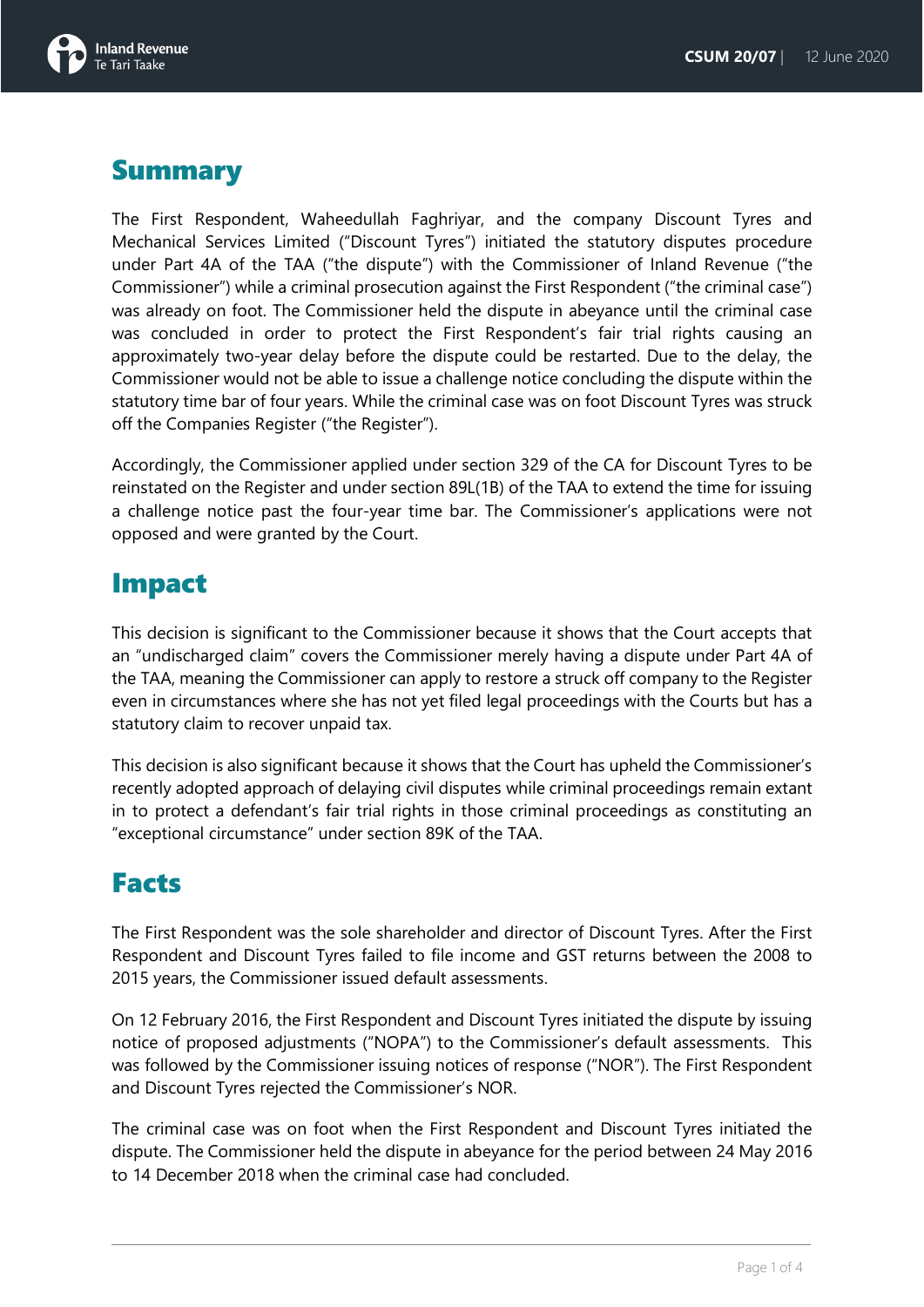

### **Summary**

The First Respondent, Waheedullah Faghriyar, and the company Discount Tyres and Mechanical Services Limited ("Discount Tyres") initiated the statutory disputes procedure under Part 4A of the TAA ("the dispute") with the Commissioner of Inland Revenue ("the Commissioner") while a criminal prosecution against the First Respondent ("the criminal case") was already on foot. The Commissioner held the dispute in abeyance until the criminal case was concluded in order to protect the First Respondent's fair trial rights causing an approximately two-year delay before the dispute could be restarted. Due to the delay, the Commissioner would not be able to issue a challenge notice concluding the dispute within the statutory time bar of four years. While the criminal case was on foot Discount Tyres was struck off the Companies Register ("the Register").

Accordingly, the Commissioner applied under section 329 of the CA for Discount Tyres to be reinstated on the Register and under section 89L(1B) of the TAA to extend the time for issuing a challenge notice past the four-year time bar. The Commissioner's applications were not opposed and were granted by the Court.

### Impact

This decision is significant to the Commissioner because it shows that the Court accepts that an "undischarged claim" covers the Commissioner merely having a dispute under Part 4A of the TAA, meaning the Commissioner can apply to restore a struck off company to the Register even in circumstances where she has not yet filed legal proceedings with the Courts but has a statutory claim to recover unpaid tax.

This decision is also significant because it shows that the Court has upheld the Commissioner's recently adopted approach of delaying civil disputes while criminal proceedings remain extant in to protect a defendant's fair trial rights in those criminal proceedings as constituting an "exceptional circumstance" under section 89K of the TAA.

### Facts

The First Respondent was the sole shareholder and director of Discount Tyres. After the First Respondent and Discount Tyres failed to file income and GST returns between the 2008 to 2015 years, the Commissioner issued default assessments.

On 12 February 2016, the First Respondent and Discount Tyres initiated the dispute by issuing notice of proposed adjustments ("NOPA") to the Commissioner's default assessments. This was followed by the Commissioner issuing notices of response ("NOR"). The First Respondent and Discount Tyres rejected the Commissioner's NOR.

The criminal case was on foot when the First Respondent and Discount Tyres initiated the dispute. The Commissioner held the dispute in abeyance for the period between 24 May 2016 to 14 December 2018 when the criminal case had concluded.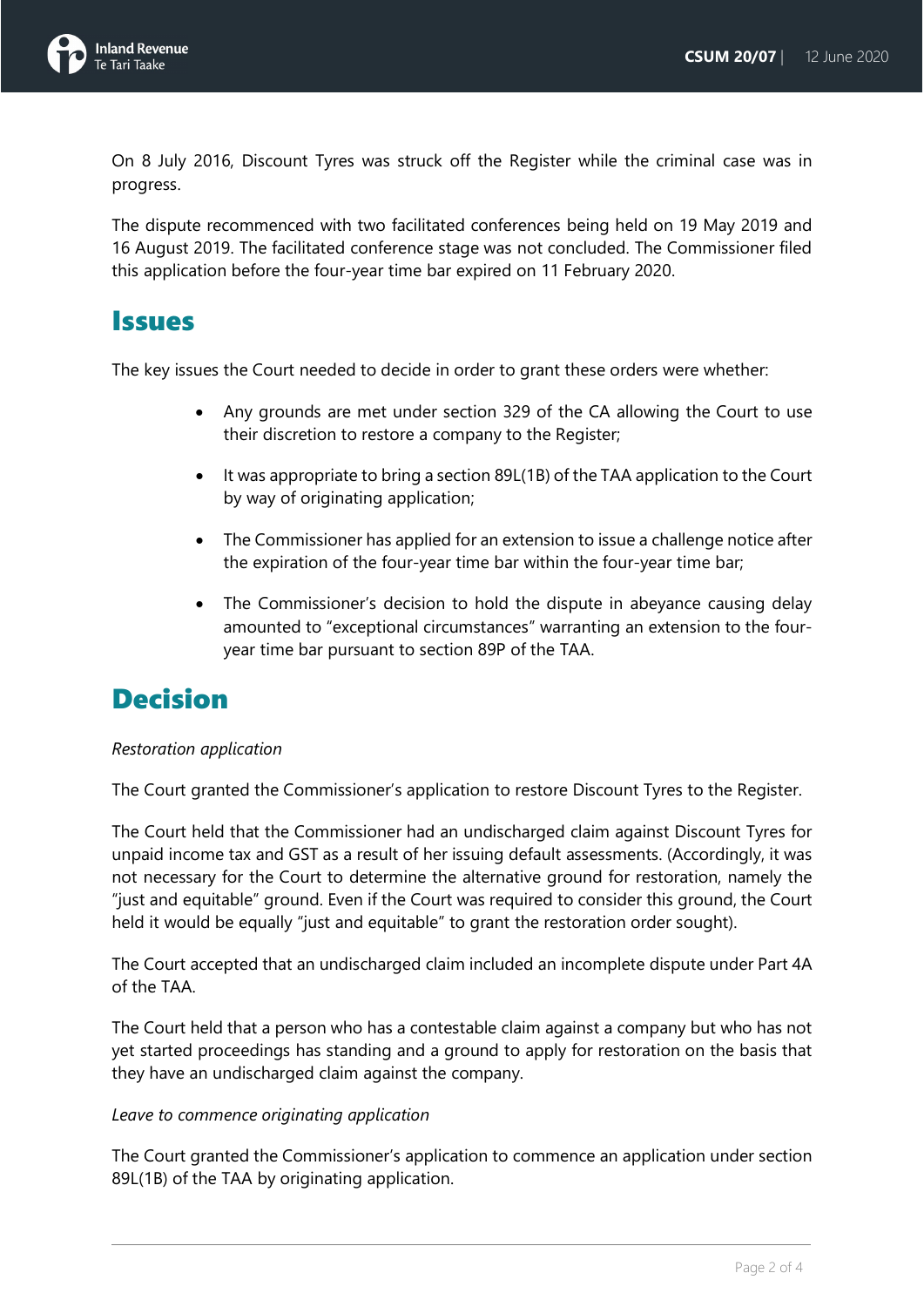

On 8 July 2016, Discount Tyres was struck off the Register while the criminal case was in progress.

The dispute recommenced with two facilitated conferences being held on 19 May 2019 and 16 August 2019. The facilitated conference stage was not concluded. The Commissioner filed this application before the four-year time bar expired on 11 February 2020.

### **Issues**

The key issues the Court needed to decide in order to grant these orders were whether:

- Any grounds are met under section 329 of the CA allowing the Court to use their discretion to restore a company to the Register;
- It was appropriate to bring a section 89L(1B) of the TAA application to the Court by way of originating application;
- The Commissioner has applied for an extension to issue a challenge notice after the expiration of the four-year time bar within the four-year time bar;
- The Commissioner's decision to hold the dispute in abeyance causing delay amounted to "exceptional circumstances" warranting an extension to the fouryear time bar pursuant to section 89P of the TAA.

### Decision

#### *Restoration application*

The Court granted the Commissioner's application to restore Discount Tyres to the Register.

The Court held that the Commissioner had an undischarged claim against Discount Tyres for unpaid income tax and GST as a result of her issuing default assessments. (Accordingly, it was not necessary for the Court to determine the alternative ground for restoration, namely the "just and equitable" ground. Even if the Court was required to consider this ground, the Court held it would be equally "just and equitable" to grant the restoration order sought).

The Court accepted that an undischarged claim included an incomplete dispute under Part 4A of the TAA.

The Court held that a person who has a contestable claim against a company but who has not yet started proceedings has standing and a ground to apply for restoration on the basis that they have an undischarged claim against the company.

#### *Leave to commence originating application*

The Court granted the Commissioner's application to commence an application under section 89L(1B) of the TAA by originating application.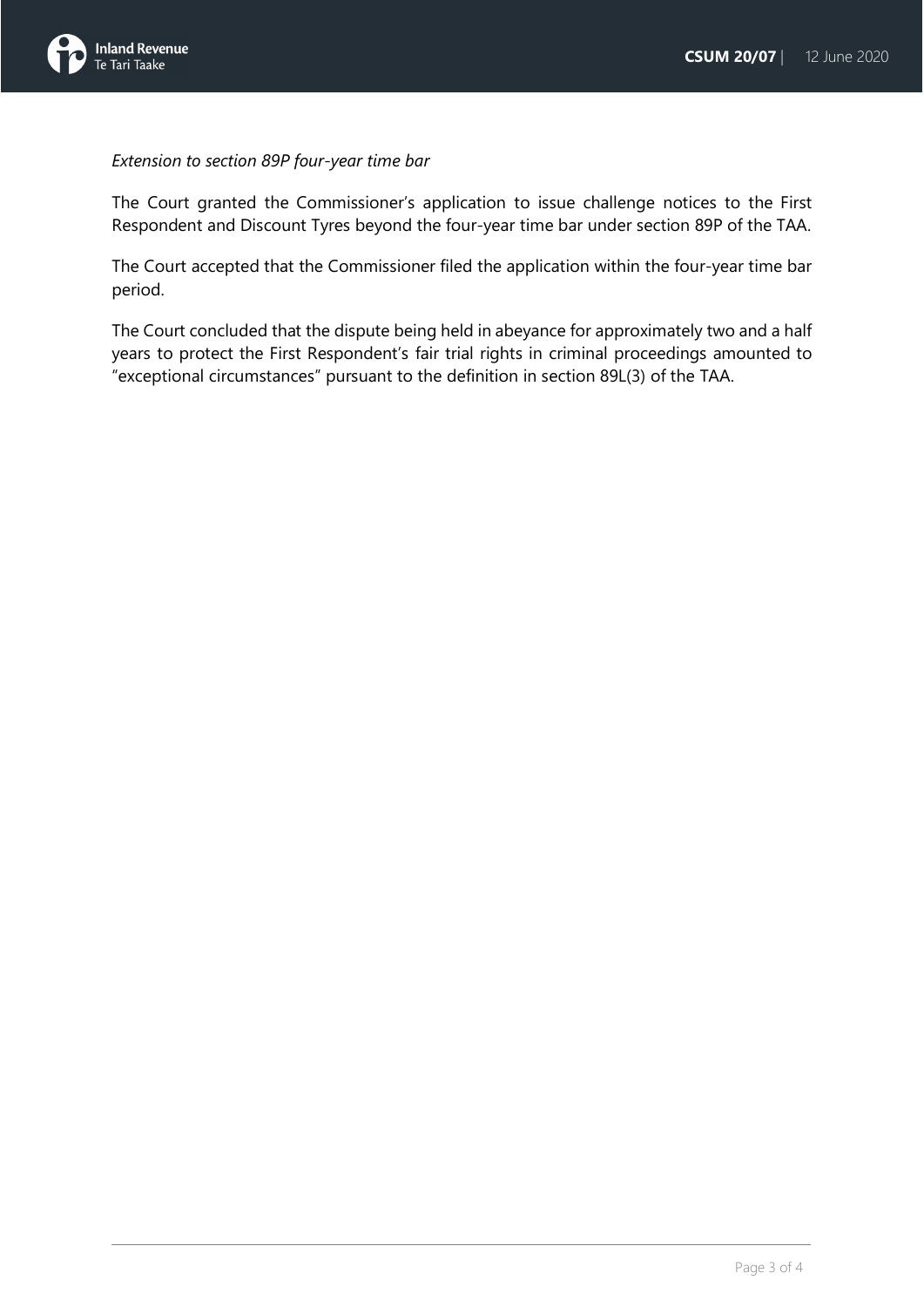

*Extension to section 89P four-year time bar*

The Court granted the Commissioner's application to issue challenge notices to the First Respondent and Discount Tyres beyond the four-year time bar under section 89P of the TAA.

The Court accepted that the Commissioner filed the application within the four-year time bar period.

The Court concluded that the dispute being held in abeyance for approximately two and a half years to protect the First Respondent's fair trial rights in criminal proceedings amounted to "exceptional circumstances" pursuant to the definition in section 89L(3) of the TAA.